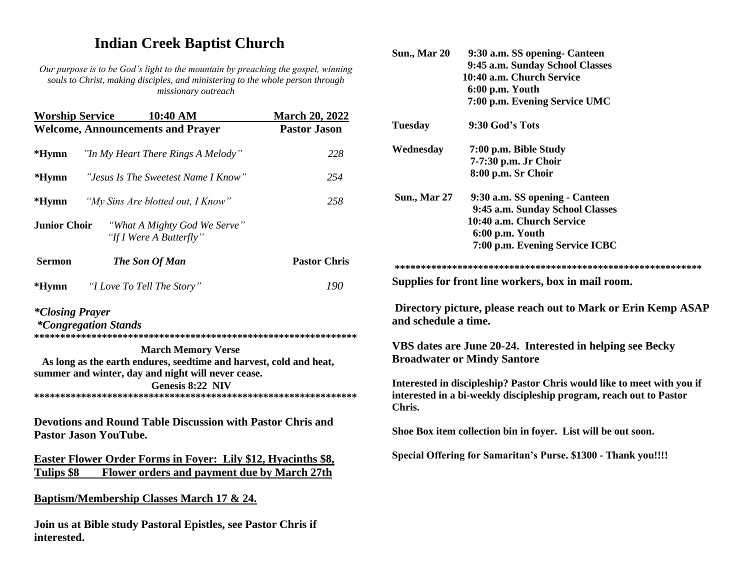## **Indian Creek Baptist Church**

*Our purpose is to be God's light to the mountain by preaching the gospel, winning souls to Christ, making disciples, and ministering to the whole person through missionary outreach*

| <b>Worship Service</b> | 10:40 AM                                                                                                                                                                  | <b>March 20, 2022</b> |
|------------------------|---------------------------------------------------------------------------------------------------------------------------------------------------------------------------|-----------------------|
|                        | <b>Welcome, Announcements and Prayer</b>                                                                                                                                  | <b>Pastor Jason</b>   |
| $*Hymn$                | "In My Heart There Rings A Melody"                                                                                                                                        | 228                   |
| $*Hymn$                | "Jesus Is The Sweetest Name I Know"                                                                                                                                       | 254                   |
| $*Hymn$                | "My Sins Are blotted out, I Know"                                                                                                                                         | 258                   |
| <b>Junior Choir</b>    | "What A Mighty God We Serve"<br>"If I Were A Butterfly"                                                                                                                   |                       |
| <b>Sermon</b>          | The Son Of Man                                                                                                                                                            | <b>Pastor Chris</b>   |
| *Hymn                  | <i>"I Love To Tell The Story"</i>                                                                                                                                         | 190                   |
| <i>*Closing Prayer</i> | <i>*Congregation Stands</i>                                                                                                                                               |                       |
|                        | <b>March Memory Verse</b><br>As long as the earth endures, seedtime and harvest, cold and heat,<br>summer and winter, day and night will never cease.<br>Genesis 8:22 NIV |                       |
|                        | <b>Devotions and Round Table Discussion with Pastor Chris and</b><br><b>Pastor Jason YouTube.</b>                                                                         |                       |
|                        | <b>Easter Flower Order Forms in Foyer: Lily \$12, Hyacinths \$8,</b>                                                                                                      |                       |
| <b>Tulips \$8</b>      | <b>Flower orders and payment due by March 27th</b>                                                                                                                        |                       |

**Baptism/Membership Classes March 17 & 24.** 

**Join us at Bible study Pastoral Epistles, see Pastor Chris if interested.**

|                                | 9:45 a.m. Sunday School Classes                                                                                                                |
|--------------------------------|------------------------------------------------------------------------------------------------------------------------------------------------|
|                                | 10:40 a.m. Church Service                                                                                                                      |
|                                | 6:00 p.m. Youth                                                                                                                                |
|                                | 7:00 p.m. Evening Service UMC                                                                                                                  |
| <b>Tuesday</b>                 | 9:30 God's Tots                                                                                                                                |
| Wednesday                      | 7:00 p.m. Bible Study                                                                                                                          |
|                                | 7-7:30 p.m. Jr Choir                                                                                                                           |
|                                | 8:00 p.m. Sr Choir                                                                                                                             |
| <b>Sun., Mar 27</b>            | 9:30 a.m. SS opening - Canteen                                                                                                                 |
|                                | 9:45 a.m. Sunday School Classes                                                                                                                |
|                                | 10:40 a.m. Church Service                                                                                                                      |
|                                | 6:00 p.m. Youth                                                                                                                                |
|                                | 7:00 p.m. Evening Service ICBC                                                                                                                 |
|                                |                                                                                                                                                |
|                                |                                                                                                                                                |
|                                | Supplies for front line workers, box in mail room.                                                                                             |
|                                | Directory picture, please reach out to Mark or Erin Kemp ASAP                                                                                  |
|                                | VBS dates are June 20-24. Interested in helping see Becky<br><b>Broadwater or Mindy Santore</b>                                                |
|                                | Interested in discipleship? Pastor Chris would like to meet with you if<br>interested in a bi-weekly discipleship program, reach out to Pastor |
| and schedule a time.<br>Chris. | Shoe Box item collection bin in foyer. List will be out soon.                                                                                  |